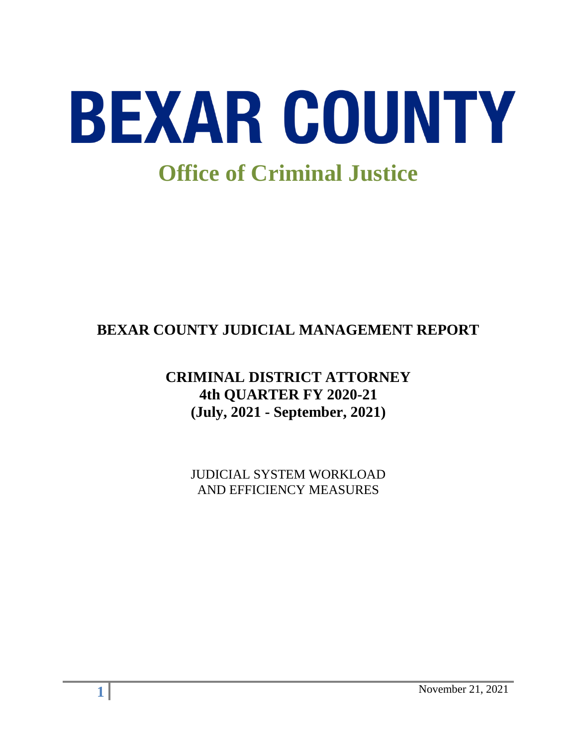

# **BEXAR COUNTY JUDICIAL MANAGEMENT REPORT**

# **CRIMINAL DISTRICT ATTORNEY 4th QUARTER FY 2020-21 (July, 2021 - September, 2021)**

JUDICIAL SYSTEM WORKLOAD AND EFFICIENCY MEASURES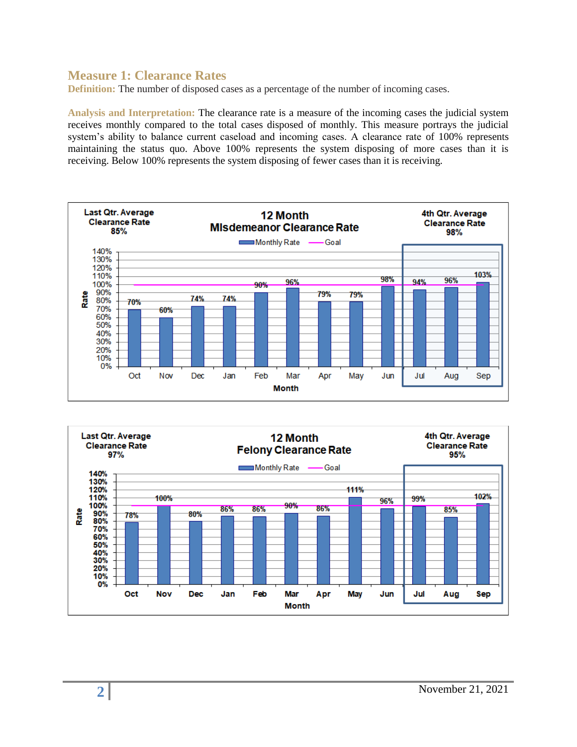#### **Measure 1: Clearance Rates**

**Definition:** The number of disposed cases as a percentage of the number of incoming cases.

**Analysis and Interpretation:** The clearance rate is a measure of the incoming cases the judicial system receives monthly compared to the total cases disposed of monthly. This measure portrays the judicial system's ability to balance current caseload and incoming cases. A clearance rate of 100% represents maintaining the status quo. Above 100% represents the system disposing of more cases than it is receiving. Below 100% represents the system disposing of fewer cases than it is receiving.



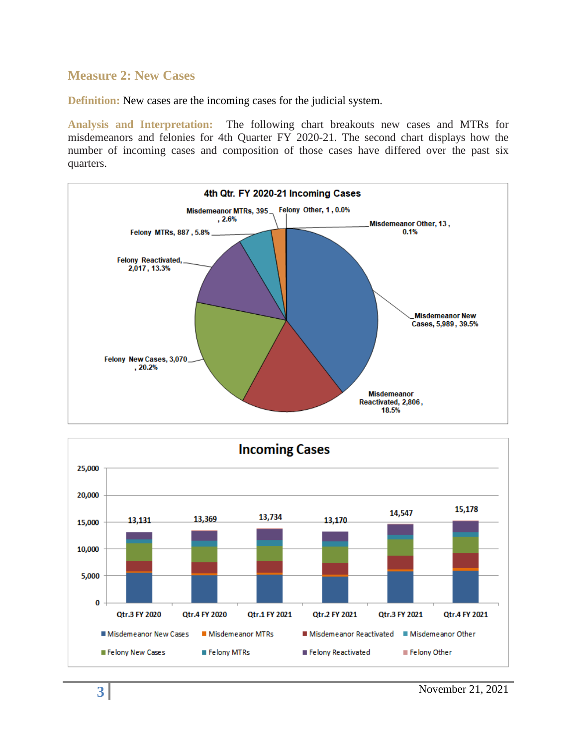#### **Measure 2: New Cases**

**Definition:** New cases are the incoming cases for the judicial system.

**Analysis and Interpretation:** The following chart breakouts new cases and MTRs for misdemeanors and felonies for 4th Quarter FY 2020-21. The second chart displays how the number of incoming cases and composition of those cases have differed over the past six quarters.



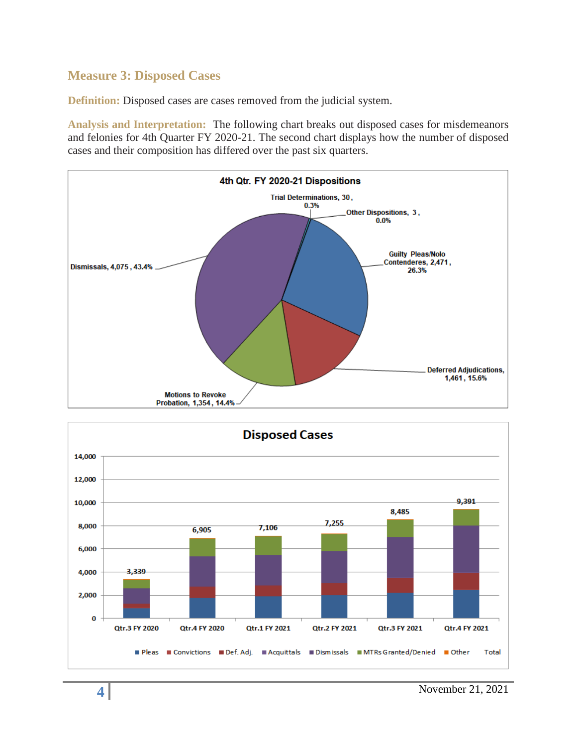## **Measure 3: Disposed Cases**

**Definition:** Disposed cases are cases removed from the judicial system.

**Analysis and Interpretation:** The following chart breaks out disposed cases for misdemeanors and felonies for 4th Quarter FY 2020-21. The second chart displays how the number of disposed cases and their composition has differed over the past six quarters.



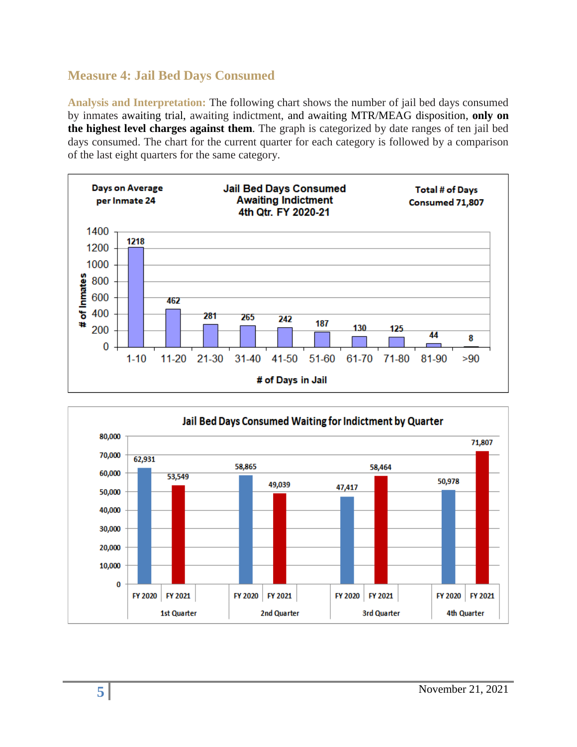# **Measure 4: Jail Bed Days Consumed**

**Analysis and Interpretation:** The following chart shows the number of jail bed days consumed by inmates awaiting trial, awaiting indictment, and awaiting MTR/MEAG disposition, **only on the highest level charges against them**. The graph is categorized by date ranges of ten jail bed days consumed. The chart for the current quarter for each category is followed by a comparison of the last eight quarters for the same category.



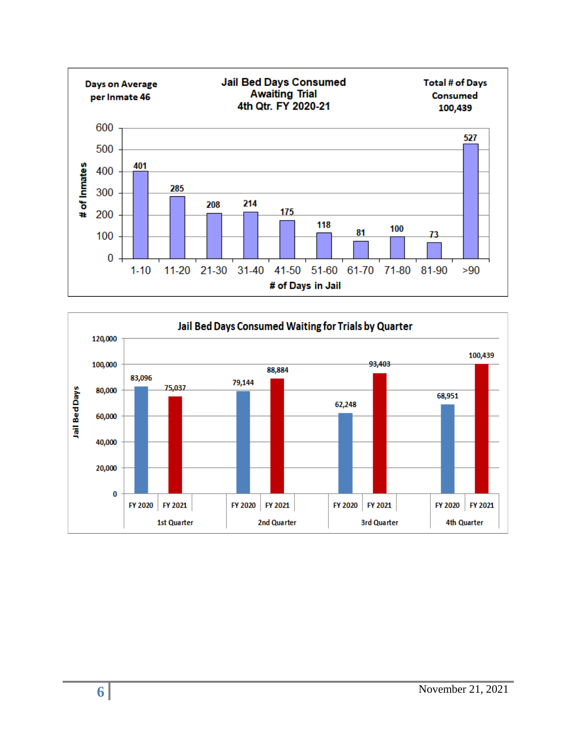

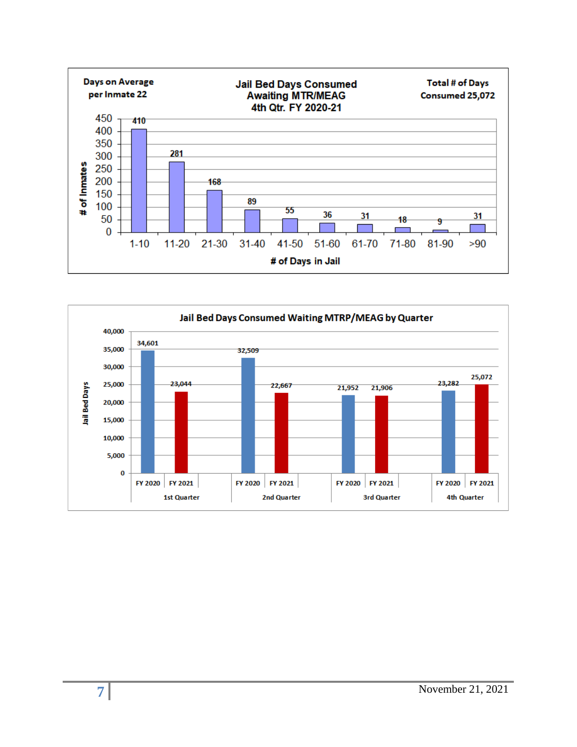

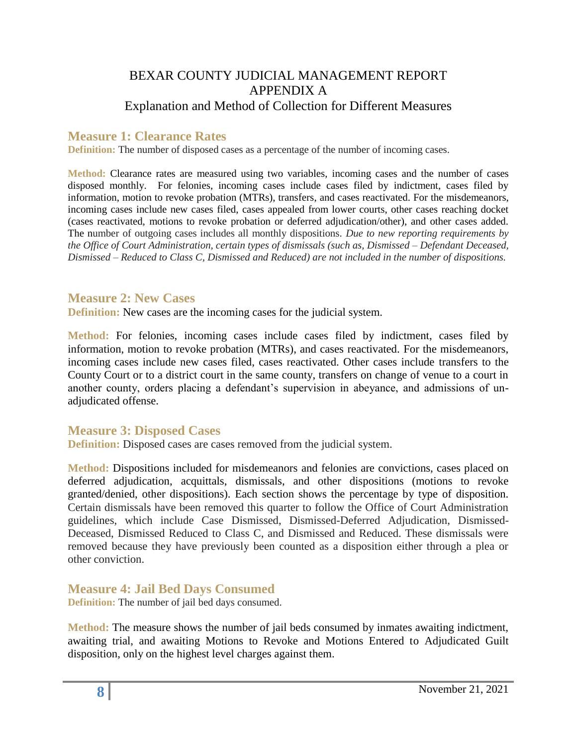## BEXAR COUNTY JUDICIAL MANAGEMENT REPORT APPENDIX A Explanation and Method of Collection for Different Measures

### **Measure 1: Clearance Rates**

**Definition:** The number of disposed cases as a percentage of the number of incoming cases.

**Method:** Clearance rates are measured using two variables, incoming cases and the number of cases disposed monthly. For felonies, incoming cases include cases filed by indictment, cases filed by information, motion to revoke probation (MTRs), transfers, and cases reactivated. For the misdemeanors, incoming cases include new cases filed, cases appealed from lower courts, other cases reaching docket (cases reactivated, motions to revoke probation or deferred adjudication/other), and other cases added. The number of outgoing cases includes all monthly dispositions. *Due to new reporting requirements by the Office of Court Administration, certain types of dismissals (such as, Dismissed – Defendant Deceased, Dismissed – Reduced to Class C, Dismissed and Reduced) are not included in the number of dispositions.*

#### **Measure 2: New Cases**

**Definition:** New cases are the incoming cases for the judicial system.

**Method:** For felonies, incoming cases include cases filed by indictment, cases filed by information, motion to revoke probation (MTRs), and cases reactivated. For the misdemeanors, incoming cases include new cases filed, cases reactivated. Other cases include transfers to the County Court or to a district court in the same county, transfers on change of venue to a court in another county, orders placing a defendant's supervision in abeyance, and admissions of unadjudicated offense.

#### **Measure 3: Disposed Cases**

**Definition:** Disposed cases are cases removed from the judicial system.

**Method:** Dispositions included for misdemeanors and felonies are convictions, cases placed on deferred adjudication, acquittals, dismissals, and other dispositions (motions to revoke granted/denied, other dispositions). Each section shows the percentage by type of disposition. Certain dismissals have been removed this quarter to follow the Office of Court Administration guidelines, which include Case Dismissed, Dismissed-Deferred Adjudication, Dismissed-Deceased, Dismissed Reduced to Class C, and Dismissed and Reduced. These dismissals were removed because they have previously been counted as a disposition either through a plea or other conviction.

**Measure 4: Jail Bed Days Consumed** 

**Definition:** The number of jail bed days consumed.

**Method:** The measure shows the number of jail beds consumed by inmates awaiting indictment, awaiting trial, and awaiting Motions to Revoke and Motions Entered to Adjudicated Guilt disposition, only on the highest level charges against them.